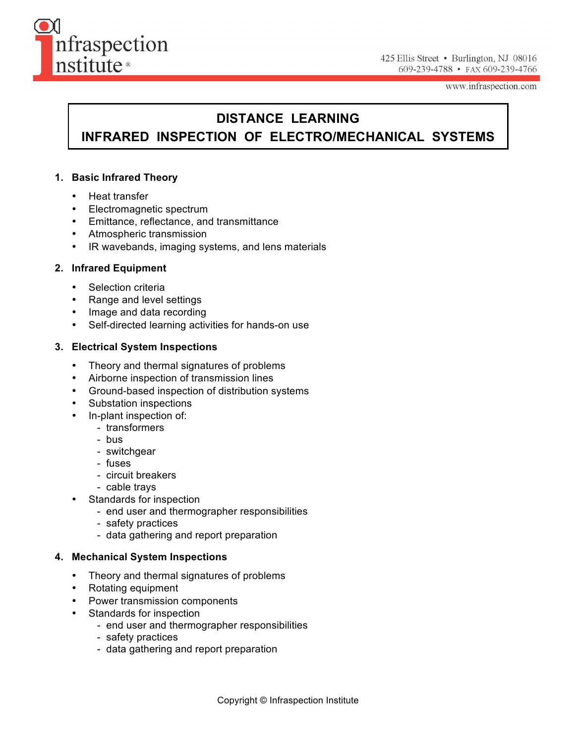

www.infraspection.com

## **DISTANCE LEARNING**

# **INFRARED INSPECTION OF ELECTRO/MECHANICAL SYSTEMS**

#### **1. Basic Infrared Theory**

- Heat transfer
- Electromagnetic spectrum
- Emittance, reflectance, and transmittance
- Atmospheric transmission
- IR wavebands, imaging systems, and lens materials

#### **2. Infrared Equipment**

- Selection criteria
- Range and level settings
- Image and data recording
- Self-directed learning activities for hands-on use

#### **3. Electrical System Inspections**

- Theory and thermal signatures of problems
- Airborne inspection of transmission lines
- Ground-based inspection of distribution systems
- Substation inspections
- In-plant inspection of:
	- transformers
	- bus
	- switchgear
	- fuses
	- circuit breakers
	- cable trays
- Standards for inspection
	- end user and thermographer responsibilities
	- safety practices
	- data gathering and report preparation

#### **4. Mechanical System Inspections**

- Theory and thermal signatures of problems
- Rotating equipment
- Power transmission components
- Standards for inspection
	- end user and thermographer responsibilities
	- safety practices
	- data gathering and report preparation